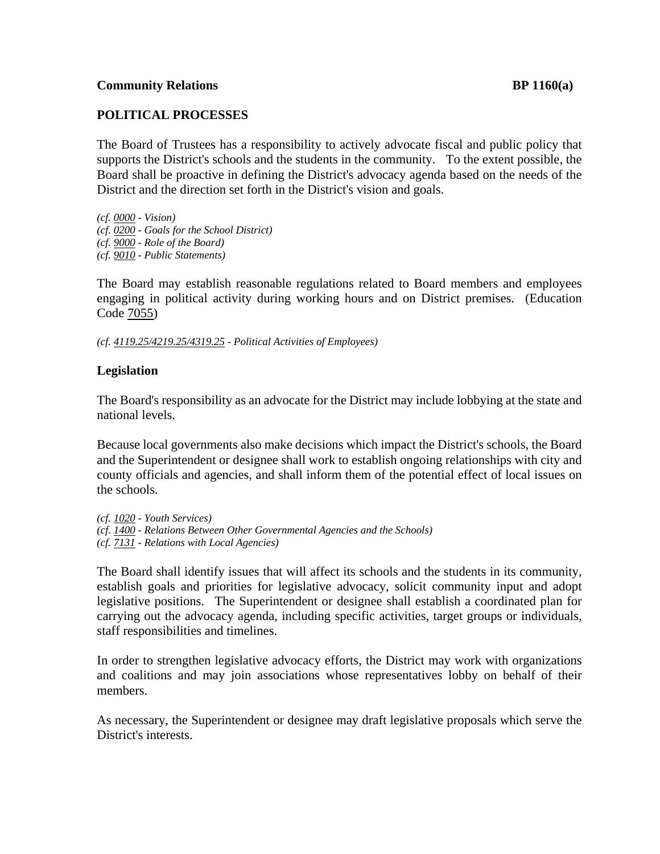### **Community Relations BP 1160(a)**

# **POLITICAL PROCESSES**

The Board of Trustees has a responsibility to actively advocate fiscal and public policy that supports the District's schools and the students in the community. To the extent possible, the Board shall be proactive in defining the District's advocacy agenda based on the needs of the District and the direction set forth in the District's vision and goals.

*(cf. 0000 - Vision) (cf. 0200 - Goals for the School District)* 

*(cf. 9000 - Role of the Board)* 

*(cf. 9010 - Public Statements)* 

The Board may establish reasonable regulations related to Board members and employees engaging in political activity during working hours and on District premises. (Education Code 7055)

*(cf. 4119.25/4219.25/4319.25 - Political Activities of Employees)* 

# **Legislation**

The Board's responsibility as an advocate for the District may include lobbying at the state and national levels.

Because local governments also make decisions which impact the District's schools, the Board and the Superintendent or designee shall work to establish ongoing relationships with city and county officials and agencies, and shall inform them of the potential effect of local issues on the schools.

- *(cf. 1020 Youth Services)*
- *(cf. 1400 Relations Between Other Governmental Agencies and the Schools)*
- *(cf. 7131 Relations with Local Agencies)*

The Board shall identify issues that will affect its schools and the students in its community, establish goals and priorities for legislative advocacy, solicit community input and adopt legislative positions. The Superintendent or designee shall establish a coordinated plan for carrying out the advocacy agenda, including specific activities, target groups or individuals, staff responsibilities and timelines.

In order to strengthen legislative advocacy efforts, the District may work with organizations and coalitions and may join associations whose representatives lobby on behalf of their members.

As necessary, the Superintendent or designee may draft legislative proposals which serve the District's interests.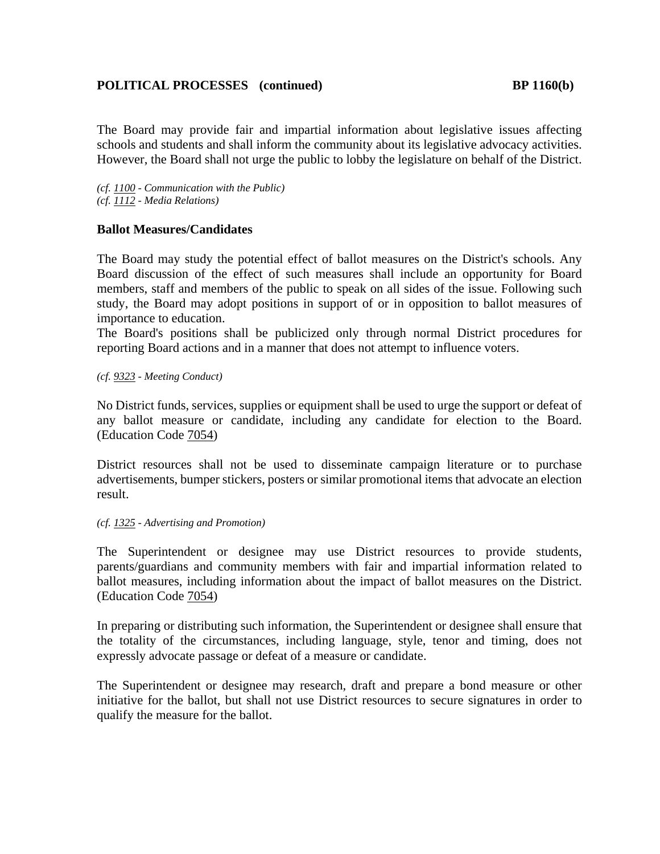# **POLITICAL PROCESSES** (continued) BP 1160(b)

The Board may provide fair and impartial information about legislative issues affecting schools and students and shall inform the community about its legislative advocacy activities. However, the Board shall not urge the public to lobby the legislature on behalf of the District.

*(cf. 1100 - Communication with the Public) (cf. 1112 - Media Relations)* 

## **Ballot Measures/Candidates**

The Board may study the potential effect of ballot measures on the District's schools. Any Board discussion of the effect of such measures shall include an opportunity for Board members, staff and members of the public to speak on all sides of the issue. Following such study, the Board may adopt positions in support of or in opposition to ballot measures of importance to education.

The Board's positions shall be publicized only through normal District procedures for reporting Board actions and in a manner that does not attempt to influence voters.

*(cf. 9323 - Meeting Conduct)* 

No District funds, services, supplies or equipment shall be used to urge the support or defeat of any ballot measure or candidate, including any candidate for election to the Board. (Education Code 7054)

District resources shall not be used to disseminate campaign literature or to purchase advertisements, bumper stickers, posters or similar promotional items that advocate an election result.

### *(cf. 1325 - Advertising and Promotion)*

The Superintendent or designee may use District resources to provide students, parents/guardians and community members with fair and impartial information related to ballot measures, including information about the impact of ballot measures on the District. (Education Code 7054)

In preparing or distributing such information, the Superintendent or designee shall ensure that the totality of the circumstances, including language, style, tenor and timing, does not expressly advocate passage or defeat of a measure or candidate.

The Superintendent or designee may research, draft and prepare a bond measure or other initiative for the ballot, but shall not use District resources to secure signatures in order to qualify the measure for the ballot.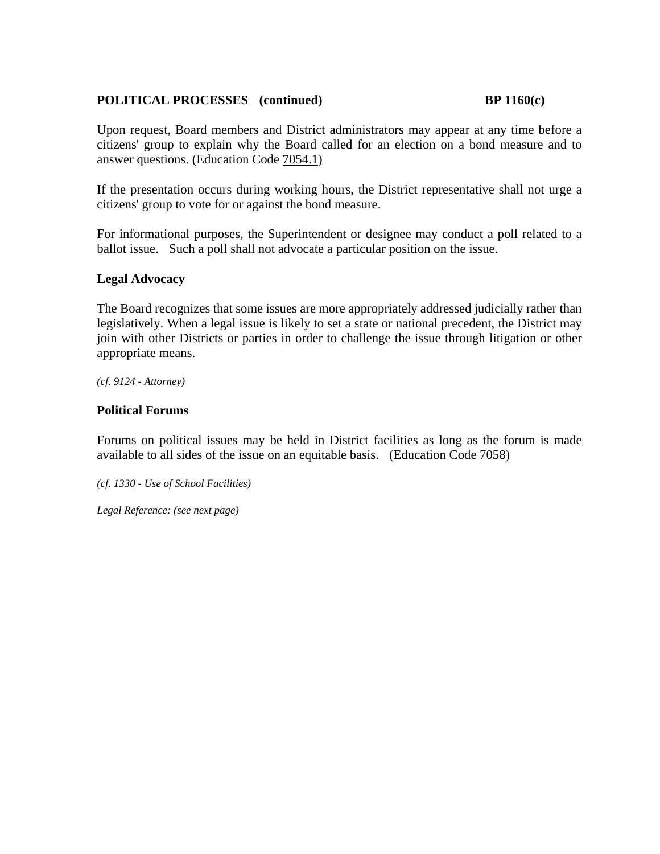# POLITICAL PROCESSES (continued) BP 1160(c)

Upon request, Board members and District administrators may appear at any time before a citizens' group to explain why the Board called for an election on a bond measure and to answer questions. (Education Code 7054.1)

If the presentation occurs during working hours, the District representative shall not urge a citizens' group to vote for or against the bond measure.

For informational purposes, the Superintendent or designee may conduct a poll related to a ballot issue. Such a poll shall not advocate a particular position on the issue.

## **Legal Advocacy**

The Board recognizes that some issues are more appropriately addressed judicially rather than legislatively. When a legal issue is likely to set a state or national precedent, the District may join with other Districts or parties in order to challenge the issue through litigation or other appropriate means.

*(cf. 9124 - Attorney)* 

## **Political Forums**

Forums on political issues may be held in District facilities as long as the forum is made available to all sides of the issue on an equitable basis. (Education Code 7058)

*(cf. 1330 - Use of School Facilities)* 

*Legal Reference: (see next page)*